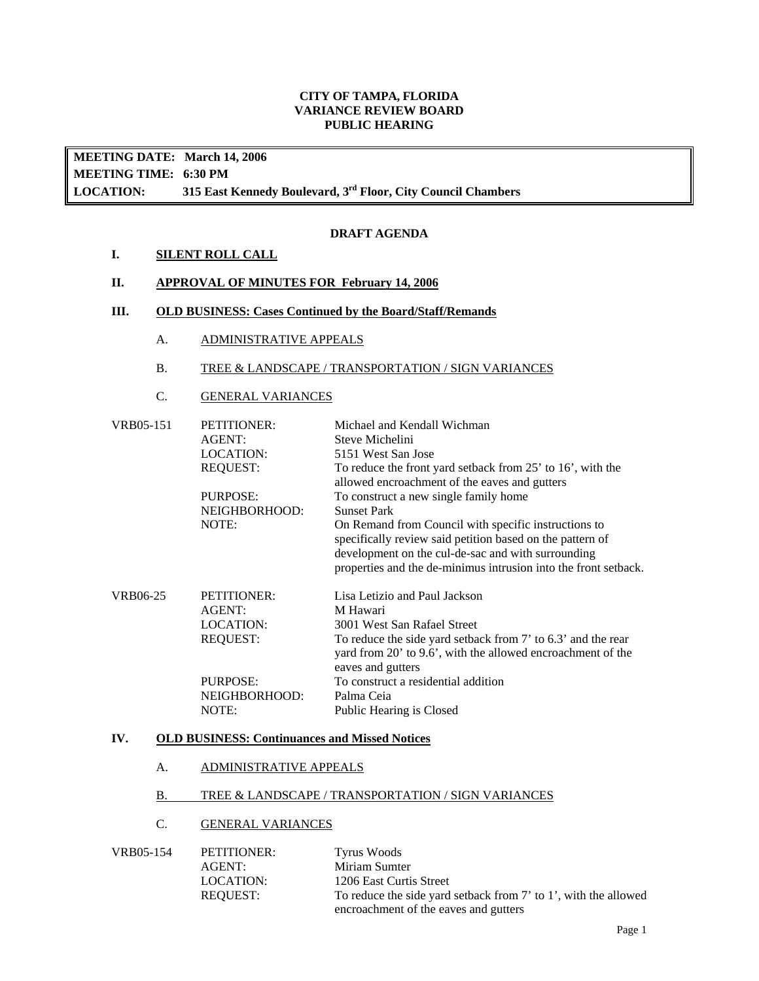## **CITY OF TAMPA, FLORIDA VARIANCE REVIEW BOARD PUBLIC HEARING**

**MEETING DATE: March 14, 2006 MEETING TIME: 6:30 PM LOCATION: 315 East Kennedy Boulevard, 3rd Floor, City Council Chambers**

## **DRAFT AGENDA**

## **I. SILENT ROLL CALL**

## **II. APPROVAL OF MINUTES FOR February 14, 2006**

#### **III. OLD BUSINESS: Cases Continued by the Board/Staff/Remands**

A. ADMINISTRATIVE APPEALS

#### B. TREE & LANDSCAPE / TRANSPORTATION / SIGN VARIANCES

## C. GENERAL VARIANCES

| VRB05-151 | <b>PETITIONER:</b><br><b>AGENT:</b><br>LOCATION:<br><b>REQUEST:</b><br>PURPOSE:<br>NEIGHBORHOOD:<br>NOTE: | Michael and Kendall Wichman<br>Steve Michelini<br>5151 West San Jose<br>To reduce the front yard setback from 25' to 16', with the<br>allowed encroachment of the eaves and gutters<br>To construct a new single family home<br><b>Sunset Park</b><br>On Remand from Council with specific instructions to<br>specifically review said petition based on the pattern of<br>development on the cul-de-sac and with surrounding<br>properties and the de-minimus intrusion into the front setback. |
|-----------|-----------------------------------------------------------------------------------------------------------|--------------------------------------------------------------------------------------------------------------------------------------------------------------------------------------------------------------------------------------------------------------------------------------------------------------------------------------------------------------------------------------------------------------------------------------------------------------------------------------------------|
| VRB06-25  | <b>PETITIONER:</b><br>AGENT:<br><b>LOCATION:</b><br><b>REQUEST:</b>                                       | Lisa Letizio and Paul Jackson<br>M Hawari<br>3001 West San Rafael Street<br>To reduce the side yard setback from 7' to 6.3' and the rear<br>yard from 20' to 9.6', with the allowed encroachment of the<br>eaves and gutters                                                                                                                                                                                                                                                                     |
|           | PURPOSE:<br>NEIGHBORHOOD:<br>NOTE:                                                                        | To construct a residential addition<br>Palma Ceia<br>Public Hearing is Closed                                                                                                                                                                                                                                                                                                                                                                                                                    |

#### **IV. OLD BUSINESS: Continuances and Missed Notices**

#### A. ADMINISTRATIVE APPEALS

#### B. TREE & LANDSCAPE / TRANSPORTATION / SIGN VARIANCES

# C. GENERAL VARIANCES

| VRB05-154 | PETITIONER: | Tyrus Woods                                                     |
|-----------|-------------|-----------------------------------------------------------------|
|           | AGENT:      | Miriam Sumter                                                   |
|           | LOCATION:   | 1206 East Curtis Street                                         |
|           | REOUEST:    | To reduce the side yard setback from 7' to 1', with the allowed |
|           |             | encroachment of the eaves and gutters                           |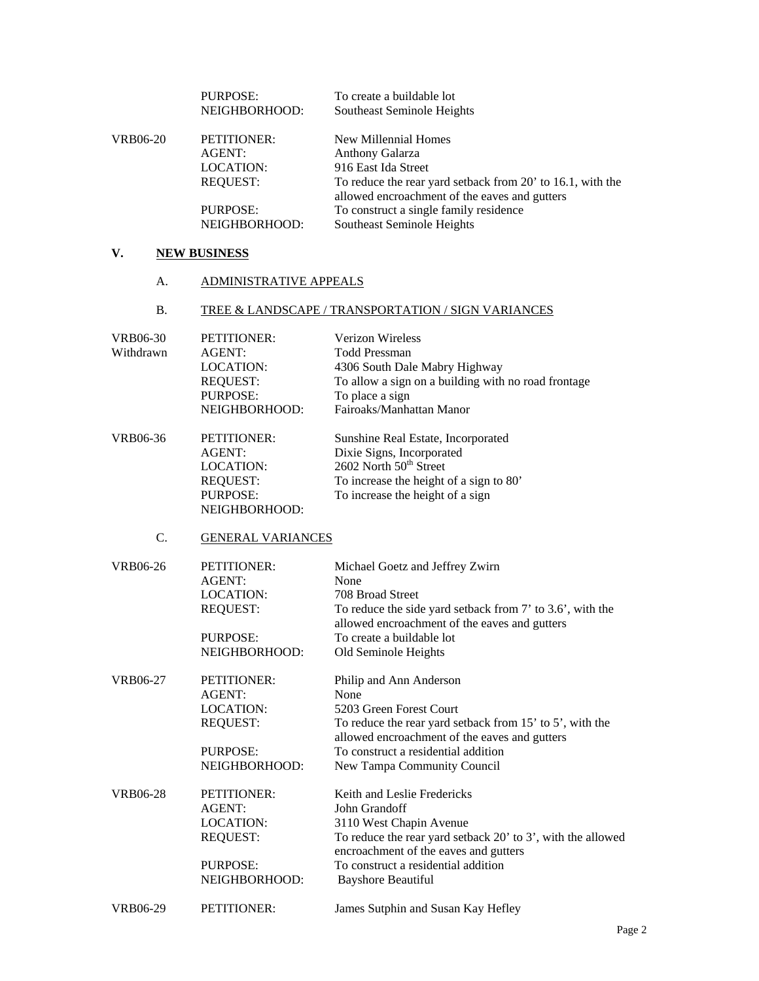|          | <b>PURPOSE:</b> | To create a buildable lot                                  |
|----------|-----------------|------------------------------------------------------------|
|          | NEIGHBORHOOD:   | Southeast Seminole Heights                                 |
| VRB06-20 | PETITIONER:     | New Millennial Homes                                       |
|          | AGENT:          | Anthony Galarza                                            |
|          | LOCATION:       | 916 East Ida Street                                        |
|          | <b>REOUEST:</b> | To reduce the rear yard setback from 20' to 16.1, with the |
|          |                 | allowed encroachment of the eaves and gutters              |
|          | PURPOSE:        | To construct a single family residence                     |
|          | NEIGHBORHOOD:   | Southeast Seminole Heights                                 |

# **V. NEW BUSINESS**

# A. ADMINISTRATIVE APPEALS

# B. TREE & LANDSCAPE / TRANSPORTATION / SIGN VARIANCES

| <b>VRB06-30</b> | PETITIONER:              | <b>Verizon Wireless</b>                                     |
|-----------------|--------------------------|-------------------------------------------------------------|
| Withdrawn       | <b>AGENT:</b>            | <b>Todd Pressman</b>                                        |
|                 | <b>LOCATION:</b>         | 4306 South Dale Mabry Highway                               |
|                 | <b>REQUEST:</b>          | To allow a sign on a building with no road frontage         |
|                 | PURPOSE:                 | To place a sign                                             |
|                 | NEIGHBORHOOD:            | Fairoaks/Manhattan Manor                                    |
|                 |                          |                                                             |
| VRB06-36        | PETITIONER:              | Sunshine Real Estate, Incorporated                          |
|                 | AGENT:                   | Dixie Signs, Incorporated                                   |
|                 | <b>LOCATION:</b>         | 2602 North 50 <sup>th</sup> Street                          |
|                 | <b>REQUEST:</b>          | To increase the height of a sign to 80'                     |
|                 | PURPOSE:                 | To increase the height of a sign                            |
|                 | NEIGHBORHOOD:            |                                                             |
| C.              | <b>GENERAL VARIANCES</b> |                                                             |
| VRB06-26        | PETITIONER:              | Michael Goetz and Jeffrey Zwirn                             |
|                 | <b>AGENT:</b>            | None                                                        |
|                 | <b>LOCATION:</b>         | 708 Broad Street                                            |
|                 | <b>REQUEST:</b>          | To reduce the side yard setback from 7' to 3.6', with the   |
|                 |                          | allowed encroachment of the eaves and gutters               |
|                 | <b>PURPOSE:</b>          | To create a buildable lot                                   |
|                 | NEIGHBORHOOD:            | Old Seminole Heights                                        |
|                 |                          |                                                             |
| <b>VRB06-27</b> | PETITIONER:              | Philip and Ann Anderson                                     |
|                 | <b>AGENT:</b>            | None                                                        |
|                 | <b>LOCATION:</b>         | 5203 Green Forest Court                                     |
|                 | <b>REQUEST:</b>          | To reduce the rear yard setback from 15' to 5', with the    |
|                 |                          | allowed encroachment of the eaves and gutters               |
|                 | PURPOSE:                 | To construct a residential addition                         |
|                 | NEIGHBORHOOD:            | New Tampa Community Council                                 |
| VRB06-28        | PETITIONER:              | Keith and Leslie Fredericks                                 |
|                 | AGENT:                   | John Grandoff                                               |
|                 | <b>LOCATION:</b>         | 3110 West Chapin Avenue                                     |
|                 | <b>REQUEST:</b>          | To reduce the rear yard setback 20' to 3', with the allowed |
|                 |                          | encroachment of the eaves and gutters                       |
|                 | PURPOSE:                 | To construct a residential addition                         |
|                 | NEIGHBORHOOD:            | <b>Bayshore Beautiful</b>                                   |
| VRB06-29        | <b>PETITIONER:</b>       |                                                             |
|                 |                          | James Sutphin and Susan Kay Hefley                          |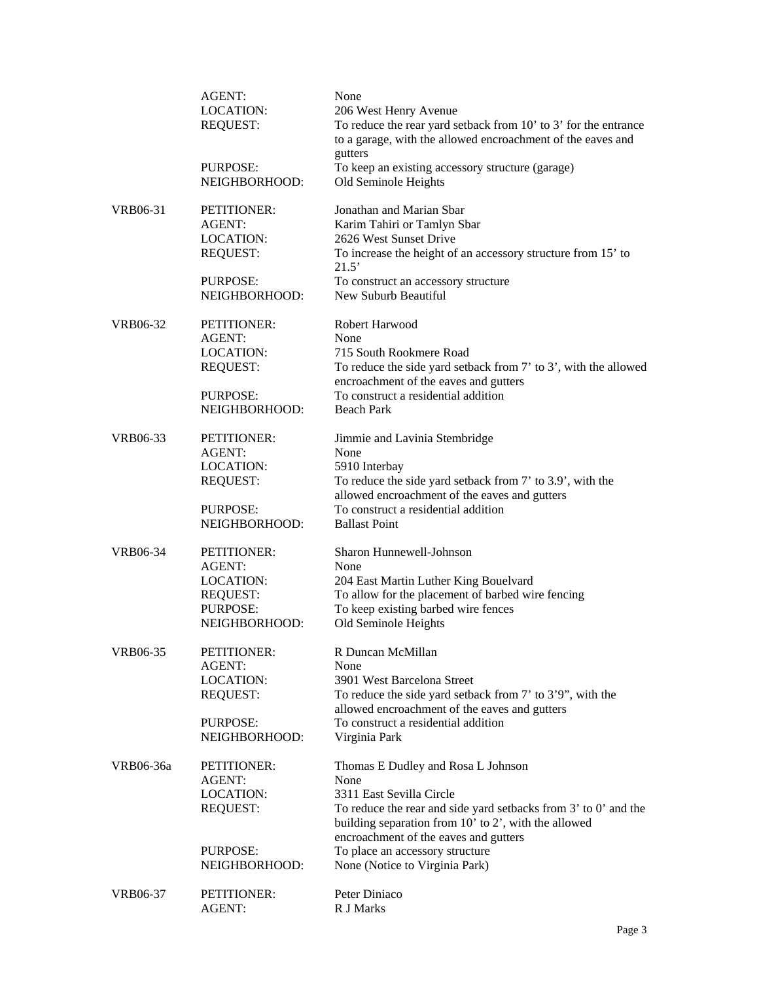|                 | <b>AGENT:</b><br><b>LOCATION:</b>   | None<br>206 West Henry Avenue                                                                                                                                    |
|-----------------|-------------------------------------|------------------------------------------------------------------------------------------------------------------------------------------------------------------|
|                 | <b>REQUEST:</b>                     | To reduce the rear yard setback from 10' to 3' for the entrance<br>to a garage, with the allowed encroachment of the eaves and                                   |
|                 | <b>PURPOSE:</b><br>NEIGHBORHOOD:    | gutters<br>To keep an existing accessory structure (garage)<br>Old Seminole Heights                                                                              |
| VRB06-31        | PETITIONER:                         | Jonathan and Marian Sbar                                                                                                                                         |
|                 | AGENT:                              | Karim Tahiri or Tamlyn Sbar                                                                                                                                      |
|                 | <b>LOCATION:</b>                    | 2626 West Sunset Drive                                                                                                                                           |
|                 | <b>REQUEST:</b>                     | To increase the height of an accessory structure from 15' to<br>21.5'                                                                                            |
|                 | PURPOSE:                            | To construct an accessory structure                                                                                                                              |
|                 | NEIGHBORHOOD:                       | New Suburb Beautiful                                                                                                                                             |
| VRB06-32        | PETITIONER:                         | Robert Harwood                                                                                                                                                   |
|                 | <b>AGENT:</b>                       | None                                                                                                                                                             |
|                 | <b>LOCATION:</b><br><b>REQUEST:</b> | 715 South Rookmere Road<br>To reduce the side yard setback from 7' to 3', with the allowed                                                                       |
|                 |                                     | encroachment of the eaves and gutters                                                                                                                            |
|                 | PURPOSE:                            | To construct a residential addition                                                                                                                              |
|                 | NEIGHBORHOOD:                       | <b>Beach Park</b>                                                                                                                                                |
| VRB06-33        | PETITIONER:                         | Jimmie and Lavinia Stembridge                                                                                                                                    |
|                 | <b>AGENT:</b>                       | None                                                                                                                                                             |
|                 | <b>LOCATION:</b>                    | 5910 Interbay                                                                                                                                                    |
|                 | <b>REQUEST:</b>                     | To reduce the side yard setback from 7' to 3.9', with the<br>allowed encroachment of the eaves and gutters                                                       |
|                 | PURPOSE:                            | To construct a residential addition                                                                                                                              |
|                 | NEIGHBORHOOD:                       | <b>Ballast Point</b>                                                                                                                                             |
| VRB06-34        | PETITIONER:                         | Sharon Hunnewell-Johnson                                                                                                                                         |
|                 | <b>AGENT:</b>                       | None                                                                                                                                                             |
|                 | <b>LOCATION:</b>                    | 204 East Martin Luther King Bouelvard                                                                                                                            |
|                 | <b>REQUEST:</b><br>PURPOSE:         | To allow for the placement of barbed wire fencing<br>To keep existing barbed wire fences                                                                         |
|                 | NEIGHBORHOOD:                       | Old Seminole Heights                                                                                                                                             |
| <b>VRB06-35</b> | PETITIONER:                         | R Duncan McMillan                                                                                                                                                |
|                 | <b>AGENT:</b>                       | None                                                                                                                                                             |
|                 | <b>LOCATION:</b>                    | 3901 West Barcelona Street                                                                                                                                       |
|                 | <b>REQUEST:</b>                     | To reduce the side yard setback from 7' to 3'9", with the<br>allowed encroachment of the eaves and gutters                                                       |
|                 | PURPOSE:                            | To construct a residential addition                                                                                                                              |
|                 | NEIGHBORHOOD:                       | Virginia Park                                                                                                                                                    |
| VRB06-36a       | PETITIONER:                         | Thomas E Dudley and Rosa L Johnson                                                                                                                               |
|                 | <b>AGENT:</b>                       | None                                                                                                                                                             |
|                 | <b>LOCATION:</b>                    | 3311 East Sevilla Circle                                                                                                                                         |
|                 | <b>REQUEST:</b>                     | To reduce the rear and side yard setbacks from 3' to 0' and the<br>building separation from 10' to 2', with the allowed<br>encroachment of the eaves and gutters |
|                 | PURPOSE:                            | To place an accessory structure                                                                                                                                  |
|                 | NEIGHBORHOOD:                       | None (Notice to Virginia Park)                                                                                                                                   |
| VRB06-37        | PETITIONER:                         | Peter Diniaco                                                                                                                                                    |
|                 | AGENT:                              | R J Marks                                                                                                                                                        |